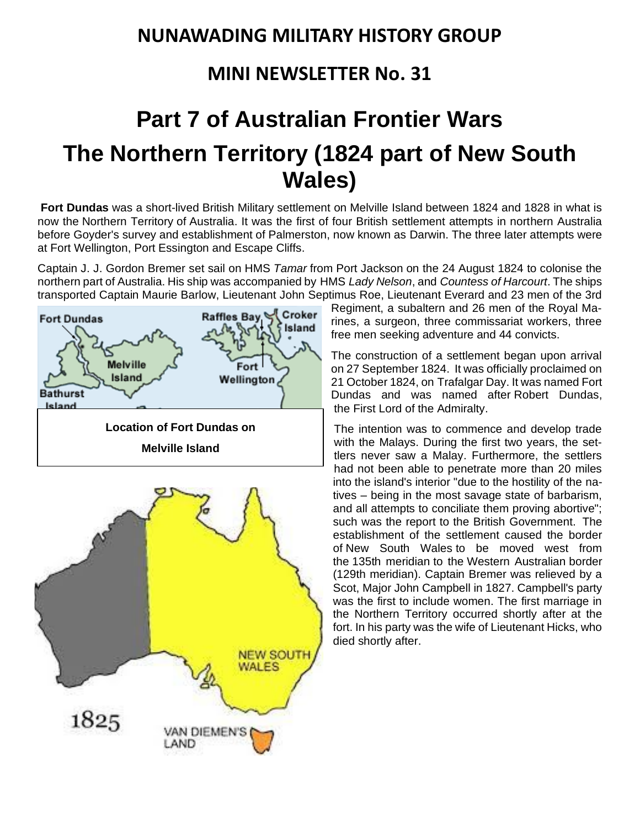## **NUNAWADING MILITARY HISTORY GROUP**

## **MINI NEWSLETTER No. 31**

## **Part 7 of Australian Frontier Wars The Northern Territory (1824 part of New South Wales)**

**Fort Dundas** was a short-lived [British](https://www.wikiwand.com/en/United_Kingdom_of_Great_Britain_and_Ireland) Military settlement on [Melville](https://www.wikiwand.com/en/Melville_Island_(Northern_Territory)) Island between 1824 and 1828 in what is now the [Northern](https://www.wikiwand.com/en/Northern_Territory) Territory of [Australia.](https://www.wikiwand.com/en/Australia) It was the first of four British settlement attempts in northern Australia before [Goyder's](https://www.wikiwand.com/en/George_Goyder) survey and establishment of Palmerston, now known as [Darwin.](https://www.wikiwand.com/en/Darwin,_Northern_Territory) The three later attempts were at Fort [Wellington,](https://www.wikiwand.com/en/Fort_Wellington,_Australia) Port [Essington](https://www.wikiwand.com/en/Port_Essington) and [Escape](https://www.wikiwand.com/en/Escape_Cliffs) Cliffs.

Captain J. J. Gordon Bremer set sail on HMS *[Tamar](https://www.wikiwand.com/en/HMS_Tamar_(1814))* from Port [Jackson](https://www.wikiwand.com/en/Sydney) on the 24 August 1824 to colonise the northern part of Australia. His ship was accompanied by HMS *Lady [Nelson](https://www.wikiwand.com/en/HMS_Lady_Nelson_(1798))*, and *[Countess](https://www.wikiwand.com/en/Countess_of_Harcourt_(1811_ship)) of Harcourt*. The ships transported Captain Maurie Barlow, Lieutenant John [Septimus](https://www.wikiwand.com/en/John_Septimus_Roe) Roe, Lieutenant Everard and 23 men of the 3rd



Regiment, a subaltern and 26 men of the Royal Marines, a surgeon, three commissariat workers, three free men seeking adventure and 44 convicts.

The construction of a settlement began upon arrival on 27 September 1824. It was officially proclaimed on 21 October 1824, on [Trafalgar](https://www.wikiwand.com/en/Trafalgar_Day) Day. It was named Fort Dundas and was named after Robert [Dundas,](https://www.wikiwand.com/en/Robert_Dundas,_2nd_Viscount_Melville) the First Lord of the [Admiralty.](https://www.wikiwand.com/en/First_Lord_of_the_Admiralty)

The intention was to commence and develop trade with the Malays. During the first two years, the settlers never saw a Malay. Furthermore, the settlers had not been able to penetrate more than 20 miles into the island's interior "due to the hostility of the natives – being in the most savage state of barbarism, and all attempts to conciliate them proving abortive"; such was the report to the British Government. The establishment of the settlement caused the border of New South [Wales](https://www.wikiwand.com/en/New_South_Wales) to be moved west from the 135th [meridian](https://www.wikiwand.com/en/135th_meridian_east) to the Western [Australian](https://www.wikiwand.com/en/Western_Australia) border (129th [meridian\)](https://www.wikiwand.com/en/129th_meridian_east). Captain Bremer was relieved by a Scot, Major John [Campbell](https://www.wikiwand.com/en/John_Campbell_(1795%E2%80%931845)) in 1827. Campbell's party was the first to include women. The first marriage in the Northern Territory occurred shortly after at the fort. In his party was the wife of Lieutenant Hicks, who died shortly after.